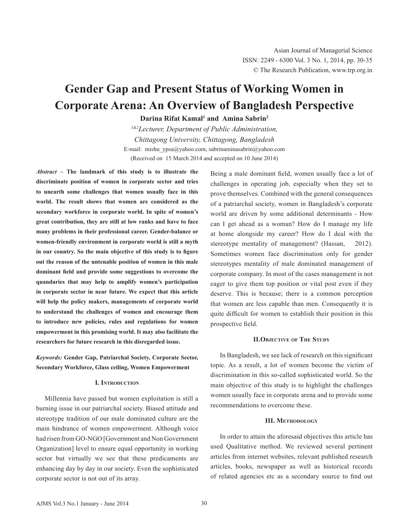# **Gender Gap and Present Status of Working Women in Corporate Arena: An Overview of Bangladesh Perspective**

Darina Rifat Kamal<sup>1</sup> and Amina Sabrin<sup>2</sup>

*1&2Lecturer, Department of Public Administration, Chittagong University, Chittagong, Bangladesh* E-mail: mishu\_ypsa@yahoo.com, sabrinaminasabrin@yahoo.com (Received on 15 March 2014 and accepted on 10 June 2014)

*Abstract* **– The landmark of this study is to illustrate the discriminate position of women in corporate sector and tries to unearth some challenges that women usually face in this world. The result shows that women are considered as the secondary workforce in corporate world. In spite of women's great contribution, they are still at low ranks and have to face many problems in their professional career. Gender-balance or women-friendly environment in corporate world is still a myth in our country. So the main objective of this study is to figure out the reason of the untenable position of women in this male dominant field and provide some suggestions to overcome the quandaries that may help to amplify women's participation in corporate sector in near future. We expect that this article will help the policy makers, managements of corporate world to understand the challenges of women and encourage them to introduce new policies, rules and regulations for women empowerment in this promising world. It may also facilitate the researchers for future research in this disregarded issue.**

*Keywords:* **Gender Gap, Patriarchal Society, Corporate Sector, Secondary Workforce, Glass ceiling, Women Empowerment**

## **I. Introduction**

Millennia have passed but women exploitation is still a burning issue in our patriarchal society. Biased attitude and stereotype tradition of our male dominated culture are the main hindrance of women empowerment. Although voice had risen from GO-NGO [Government and Non Government Organization] level to ensure equal opportunity in working sector but virtually we see that these predicaments are enhancing day by day in our society. Even the sophisticated corporate sector is not out of its array.

Being a male dominant field, women usually face a lot of challenges in operating job, especially when they set to prove themselves. Combined with the general consequences of a patriarchal society, women in Bangladesh's corporate world are driven by some additional determinants - How can I get ahead as a woman? How do I manage my life at home alongside my career? How do I deal with the stereotype mentality of management? (Hassan, 2012). Sometimes women face discrimination only for gender stereotypes mentality of male dominated management of corporate company. In most of the cases management is not eager to give them top position or vital post even if they deserve. This is because; there is a common perception that women are less capable than men. Consequently it is quite difficult for women to establish their position in this prospective field.

## **II.Objective of The Study**

In Bangladesh, we see lack of research on this significant topic. As a result, a lot of women become the victim of discrimination in this so-called sophisticated world. So the main objective of this study is to highlight the challenges women usually face in corporate arena and to provide some recommendations to overcome these.

#### **III. Methodology**

In order to attain the aforesaid objectives this article has used Qualitative method. We reviewed several pertinent articles from internet websites, relevant published research articles, books, newspaper as well as historical records of related agencies etc as a secondary source to find out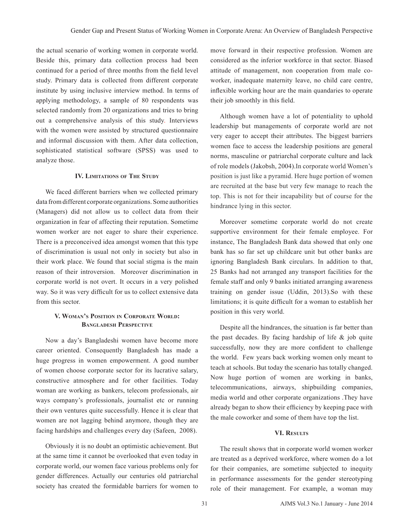the actual scenario of working women in corporate world. Beside this, primary data collection process had been continued for a period of three months from the field level study. Primary data is collected from different corporate institute by using inclusive interview method. In terms of applying methodology, a sample of 80 respondents was selected randomly from 20 organizations and tries to bring out a comprehensive analysis of this study. Interviews with the women were assisted by structured questionnaire and informal discussion with them. After data collection, sophisticated statistical software (SPSS) was used to analyze those.

## **IV. Limitations of The Study**

We faced different barriers when we collected primary data from different corporate organizations. Some authorities (Managers) did not allow us to collect data from their organization in fear of affecting their reputation. Sometime women worker are not eager to share their experience. There is a preconceived idea amongst women that this type of discrimination is usual not only in society but also in their work place. We found that social stigma is the main reason of their introversion. Moreover discrimination in corporate world is not overt. It occurs in a very polished way. So it was very difficult for us to collect extensive data from this sector.

## **V. Woman's Position in Corporate World: Bangladesh Perspective**

Now a day's Bangladeshi women have become more career oriented. Consequently Bangladesh has made a huge progress in women empowerment. A good number of women choose corporate sector for its lucrative salary, constructive atmosphere and for other facilities. Today woman are working as bankers, telecom professionals, air ways company's professionals, journalist etc or running their own ventures quite successfully. Hence it is clear that women are not lagging behind anymore, though they are facing hardships and challenges every day (Safeen, 2008).

Obviously it is no doubt an optimistic achievement. But at the same time it cannot be overlooked that even today in corporate world, our women face various problems only for gender differences. Actually our centuries old patriarchal society has created the formidable barriers for women to

move forward in their respective profession. Women are considered as the inferior workforce in that sector. Biased attitude of management, non cooperation from male coworker, inadequate maternity leave, no child care centre, inflexible working hour are the main quandaries to operate their job smoothly in this field.

Although women have a lot of potentiality to uphold leadership but managements of corporate world are not very eager to accept their attributes. The biggest barriers women face to access the leadership positions are general norms, masculine or patriarchal corporate culture and lack of role models (Jakobsh, 2004).In corporate world Women's position is just like a pyramid. Here huge portion of women are recruited at the base but very few manage to reach the top. This is not for their incapability but of course for the hindrance lying in this sector.

Moreover sometime corporate world do not create supportive environment for their female employee. For instance, The Bangladesh Bank data showed that only one bank has so far set up childcare unit but other banks are ignoring Bangladesh Bank circulars. In addition to that, 25 Banks had not arranged any transport facilities for the female staff and only 9 banks initiated arranging awareness training on gender issue (Uddin, 2013).So with these limitations; it is quite difficult for a woman to establish her position in this very world.

Despite all the hindrances, the situation is far better than the past decades. By facing hardship of life & job quite successfully, now they are more confident to challenge the world. Few years back working women only meant to teach at schools. But today the scenario has totally changed. Now huge portion of women are working in banks, telecommunications, airways, shipbuilding companies, media world and other corporate organizations .They have already began to show their efficiency by keeping pace with the male coworker and some of them have top the list.

## **VI. Results**

The result shows that in corporate world women worker are treated as a deprived workforce, where women do a lot for their companies, are sometime subjected to inequity in performance assessments for the gender stereotyping role of their management. For example, a woman may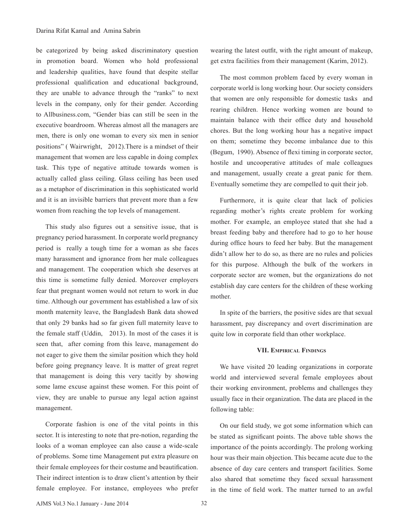be categorized by being asked discriminatory question in promotion board. Women who hold professional and leadership qualities, have found that despite stellar professional qualification and educational background, they are unable to advance through the "ranks" to next levels in the company, only for their gender. According to Allbusiness.com, "Gender bias can still be seen in the executive boardroom. Whereas almost all the managers are men, there is only one woman to every six men in senior positions" ( Wairwright, 2012).There is a mindset of their management that women are less capable in doing complex task. This type of negative attitude towards women is actually called glass ceiling. Glass ceiling has been used as a metaphor of discrimination in this sophisticated world and it is an invisible barriers that prevent more than a few women from reaching the top levels of management.

This study also figures out a sensitive issue, that is pregnancy period harassment. In corporate world pregnancy period is really a tough time for a woman as she faces many harassment and ignorance from her male colleagues and management. The cooperation which she deserves at this time is sometime fully denied. Moreover employers fear that pregnant women would not return to work in due time. Although our government has established a law of six month maternity leave, the Bangladesh Bank data showed that only 29 banks had so far given full maternity leave to the female staff (Uddin, 2013). In most of the cases it is seen that, after coming from this leave, management do not eager to give them the similar position which they hold before going pregnancy leave. It is matter of great regret that management is doing this very tacitly by showing some lame excuse against these women. For this point of view, they are unable to pursue any legal action against management.

Corporate fashion is one of the vital points in this sector. It is interesting to note that pre-notion, regarding the looks of a woman employee can also cause a wide-scale of problems. Some time Management put extra pleasure on their female employees for their costume and beautification. Their indirect intention is to draw client's attention by their female employee. For instance, employees who prefer wearing the latest outfit, with the right amount of makeup, get extra facilities from their management (Karim, 2012).

The most common problem faced by every woman in corporate world is long working hour. Our society considers that women are only responsible for domestic tasks and rearing children. Hence working women are bound to maintain balance with their office duty and household chores. But the long working hour has a negative impact on them; sometime they become imbalance due to this (Begum, 1990). Absence of flexi timing in corporate sector, hostile and uncooperative attitudes of male colleagues and management, usually create a great panic for them. Eventually sometime they are compelled to quit their job.

Furthermore, it is quite clear that lack of policies regarding mother's rights create problem for working mother. For example, an employee stated that she had a breast feeding baby and therefore had to go to her house during office hours to feed her baby. But the management didn't allow her to do so, as there are no rules and policies for this purpose. Although the bulk of the workers in corporate sector are women, but the organizations do not establish day care centers for the children of these working mother.

In spite of the barriers, the positive sides are that sexual harassment, pay discrepancy and overt discrimination are quite low in corporate field than other workplace.

### **VII. Empirical Findings**

We have visited 20 leading organizations in corporate world and interviewed several female employees about their working environment, problems and challenges they usually face in their organization. The data are placed in the following table:

On our field study, we got some information which can be stated as significant points. The above table shows the importance of the points accordingly. The prolong working hour was their main objection. This became acute due to the absence of day care centers and transport facilities. Some also shared that sometime they faced sexual harassment in the time of field work. The matter turned to an awful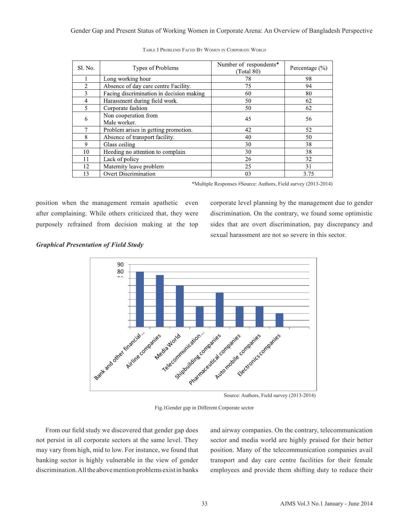Gender Gap and Present Status of Working Women in Corporate Arena: An Overview of Bangladesh Perspective

| Sl. No.        | Types of Problems                        | Number of respondents*<br>(Total 80) | Percentage $(\% )$ |
|----------------|------------------------------------------|--------------------------------------|--------------------|
|                | Long working hour                        | 78                                   | 98                 |
| $\overline{2}$ | Absence of day care centre Facility.     | 75                                   | 94                 |
| 3              | Facing discrimination in decision making | 60                                   | 80                 |
| 4              | Harassment during field work.            | 50                                   | 62                 |
| 5              | Corporate fashion                        | 50                                   | 62                 |
| 6              | Non cooperation from<br>Male worker.     | 45                                   | 56                 |
|                | Problem arises in getting promotion.     | 42                                   | 52                 |
| 8              | Absence of transport facility.           | 40                                   | 50                 |
| 9              | Glass ceiling                            | 30                                   | 38                 |
| 10             | Heeding no attention to complain         | 30                                   | 38                 |
| 11             | Lack of policy                           | 26                                   | 32                 |
| 12             | Maternity leave problem                  | 25                                   | 31                 |
| 13             | <b>Overt Discrimination</b>              | 03                                   | 3.75               |

\*Multiple Responses #Source: Authors, Field survey (2013-2014)

position when the management remain apathetic even after complaining. While others criticized that, they were purposely refrained from decision making at the top corporate level planning by the management due to gender discrimination. On the contrary, we found some optimistic sides that are overt discrimination, pay discrepancy and sexual harassment are not so severe in this sector.

*Graphical Presentation of Field Study*



Fig.1Gender gap in Different Corporate sector

From our field study we discovered that gender gap does not persist in all corporate sectors at the same level. They may vary from high, mid to low. For instance, we found that banking sector is highly vulnerable in the view of gender discrimination. All the above mention problems exist in banks and airway companies. On the contrary, telecommunication sector and media world are highly praised for their better position. Many of the telecommunication companies avail transport and day care centre facilities for their female employees and provide them shifting duty to reduce their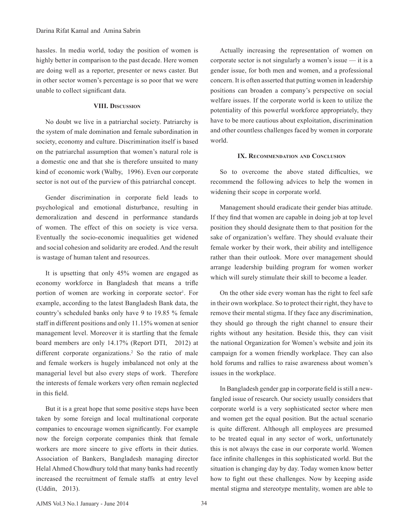hassles. In media world, today the position of women is highly better in comparison to the past decade. Here women are doing well as a reporter, presenter or news caster. But in other sector women's percentage is so poor that we were unable to collect significant data.

## **VIII. Discussion**

No doubt we live in a patriarchal society. Patriarchy is the system of male domination and female subordination in society, economy and culture. Discrimination itself is based on the patriarchal assumption that women's natural role is a domestic one and that she is therefore unsuited to many kind of economic work (Walby, 1996). Even our corporate sector is not out of the purview of this patriarchal concept.

Gender discrimination in corporate field leads to psychological and emotional disturbance, resulting in demoralization and descend in performance standards of women. The effect of this on society is vice versa. Eventually the socio-economic inequalities get widened and social cohesion and solidarity are eroded. And the result is wastage of human talent and resources.

It is upsetting that only 45% women are engaged as economy workforce in Bangladesh that means a trifle portion of women are working in corporate sector<sup>1</sup>. For example, according to the latest Bangladesh Bank data, the country's scheduled banks only have 9 to 19.85 % female staff in different positions and only 11.15% women at senior management level. Moreover it is startling that the female board members are only 14.17% (Report DTI, 2012) at different corporate organizations.<sup>2</sup> So the ratio of male and female workers is hugely imbalanced not only at the managerial level but also every steps of work. Therefore the interests of female workers very often remain neglected in this field.

But it is a great hope that some positive steps have been taken by some foreign and local multinational corporate companies to encourage women significantly. For example now the foreign corporate companies think that female workers are more sincere to give efforts in their duties. Association of Bankers, Bangladesh managing director Helal Ahmed Chowdhury told that many banks had recently increased the recruitment of female staffs at entry level (Uddin, 2013).

Actually increasing the representation of women on corporate sector is not singularly a women's issue — it is a gender issue, for both men and women, and a professional concern. It is often asserted that putting women in leadership positions can broaden a company's perspective on social welfare issues. If the corporate world is keen to utilize the potentiality of this powerful workforce appropriately, they have to be more cautious about exploitation, discrimination and other countless challenges faced by women in corporate world.

### **IX. Recommendation and Conclusion**

So to overcome the above stated difficulties, we recommend the following advices to help the women in widening their scope in corporate world.

Management should eradicate their gender bias attitude. If they find that women are capable in doing job at top level position they should designate them to that position for the sake of organization's welfare. They should evaluate their female worker by their work, their ability and intelligence rather than their outlook. More over management should arrange leadership building program for women worker which will surely stimulate their skill to become a leader.

On the other side every woman has the right to feel safe in their own workplace. So to protect their right, they have to remove their mental stigma. If they face any discrimination, they should go through the right channel to ensure their rights without any hesitation. Beside this, they can visit the national Organization for Women's website and join its campaign for a women friendly workplace. They can also hold forums and rallies to raise awareness about women's issues in the workplace.

In Bangladesh gender gap in corporate field is still a newfangled issue of research. Our society usually considers that corporate world is a very sophisticated sector where men and women get the equal position. But the actual scenario is quite different. Although all employees are presumed to be treated equal in any sector of work, unfortunately this is not always the case in our corporate world. Women face infinite challenges in this sophisticated world. But the situation is changing day by day. Today women know better how to fight out these challenges. Now by keeping aside mental stigma and stereotype mentality, women are able to